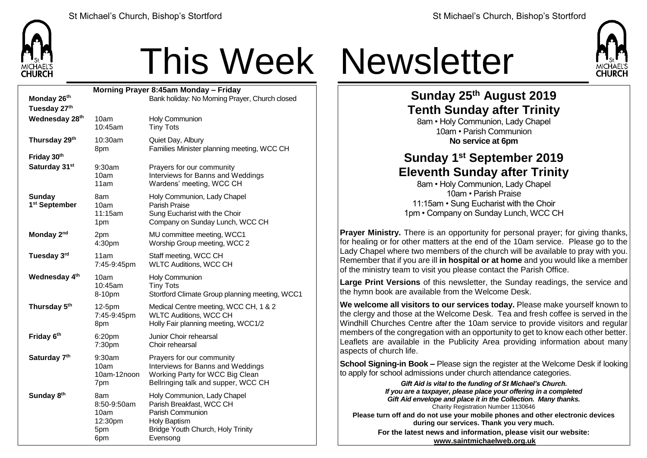

## This Week Newsletter

| Morning Prayer 8:45am Monday - Friday      |                                                     |                                                                                                                                              |  |  |  |
|--------------------------------------------|-----------------------------------------------------|----------------------------------------------------------------------------------------------------------------------------------------------|--|--|--|
| Monday 26th                                |                                                     | Bank holiday: No Morning Prayer, Church closed                                                                                               |  |  |  |
| Tuesday 27th                               |                                                     |                                                                                                                                              |  |  |  |
| Wednesday 28th                             | 10am<br>10:45am                                     | Holy Communion<br><b>Tiny Tots</b>                                                                                                           |  |  |  |
| Thursday 29th                              | 10:30am<br>8pm                                      | Quiet Day, Albury<br>Families Minister planning meeting, WCC CH                                                                              |  |  |  |
| Friday 30th                                |                                                     |                                                                                                                                              |  |  |  |
| Saturday 31st                              | 9:30am<br>10am<br>11am                              | Prayers for our community<br>Interviews for Banns and Weddings<br>Wardens' meeting, WCC CH                                                   |  |  |  |
| <b>Sunday</b><br>1 <sup>st</sup> September | 8am.<br>10am<br>11:15am<br>1pm                      | Holy Communion, Lady Chapel<br>Parish Praise<br>Sung Eucharist with the Choir<br>Company on Sunday Lunch, WCC CH                             |  |  |  |
| Monday 2 <sup>nd</sup>                     | 2pm<br>4:30pm                                       | MU committee meeting, WCC1<br>Worship Group meeting, WCC 2                                                                                   |  |  |  |
| Tuesday 3rd                                | 11am<br>7:45-9:45pm                                 | Staff meeting, WCC CH<br><b>WLTC Auditions, WCC CH</b>                                                                                       |  |  |  |
| Wednesday 4th                              | 10am<br>10:45am<br>8-10pm                           | Holy Communion<br><b>Tiny Tots</b><br>Stortford Climate Group planning meeting, WCC1                                                         |  |  |  |
| Thursday 5 <sup>th</sup>                   | 12-5pm<br>7:45-9:45pm<br>8pm                        | Medical Centre meeting, WCC CH, 1 & 2<br><b>WLTC Auditions, WCC CH</b><br>Holly Fair planning meeting, WCC1/2                                |  |  |  |
| Friday 6th                                 | 6:20 <sub>pm</sub><br>7:30pm                        | Junior Choir rehearsal<br>Choir rehearsal                                                                                                    |  |  |  |
| Saturday 7th                               | 9:30am<br>10am<br>10am-12noon<br>7pm                | Prayers for our community<br>Interviews for Banns and Weddings<br>Working Party for WCC Big Clean<br>Bellringing talk and supper, WCC CH     |  |  |  |
| Sunday 8th                                 | 8am<br>8:50-9:50am<br>10am<br>12:30pm<br>5pm<br>6pm | Holy Communion, Lady Chapel<br>Parish Breakfast, WCC CH<br>Parish Communion<br>Holy Baptism<br>Bridge Youth Church, Holy Trinity<br>Evensong |  |  |  |



## **Sunday 25th August 2019 Tenth Sunday after Trinity**

8am • Holy Communion, Lady Chapel 10am • Parish Communion **No service at 6pm**

## **Sunday 1 st September 2019 Eleventh Sunday after Trinity**

8am • Holy Communion, Lady Chapel 10am • Parish Praise 11:15am • Sung Eucharist with the Choir 1pm • Company on Sunday Lunch, WCC CH

**Prayer Ministry.** There is an opportunity for personal prayer; for giving thanks, for healing or for other matters at the end of the 10am service. Please go to the Lady Chapel where two members of the church will be available to pray with you. Remember that if you are ill **in hospital or at home** and you would like a member of the ministry team to visit you please contact the Parish Office.

**Large Print Versions** of this newsletter, the Sunday readings, the service and the hymn book are available from the Welcome Desk.

**We welcome all visitors to our services today.** Please make yourself known to the clergy and those at the Welcome Desk. Tea and fresh coffee is served in the Windhill Churches Centre after the 10am service to provide visitors and regular members of the congregation with an opportunity to get to know each other better. Leaflets are available in the Publicity Area providing information about many aspects of church life.

**School Signing-in Book –** Please sign the register at the Welcome Desk if looking to apply for school admissions under church attendance categories.

> *Gift Aid is vital to the funding of St Michael's Church. If you are a taxpayer, please place your offering in a completed Gift Aid envelope and place it in the Collection. Many thanks.* Charity Registration Number 1130646

**Please turn off and do not use your mobile phones and other electronic devices during our services. Thank you very much. For the latest news and information, please visit our website:**

**[www.saintmichaelweb.org.uk](http://www.saintmichaelweb.org.uk/)**